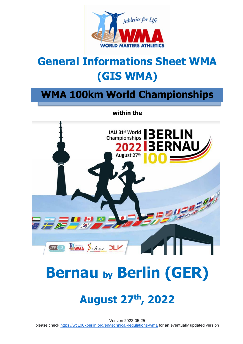

## **General Informations Sheet WMA (GIS WMA)**

## **WMA 100km World Championships**

**within the**



# **Bernau by Berlin (GER)**

## **August 27th, 2022**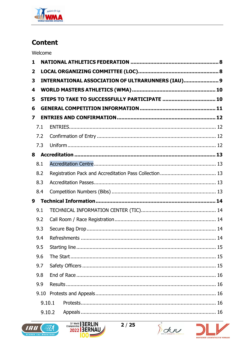

## **Content**

Welcome

| 1            |                                                          |  |                                               |  |  |
|--------------|----------------------------------------------------------|--|-----------------------------------------------|--|--|
| $\mathbf{2}$ |                                                          |  |                                               |  |  |
| 3            | <b>INTERNATIONAL ASSOCIATION OF ULTRARUNNERS (IAU) 9</b> |  |                                               |  |  |
| 4            |                                                          |  |                                               |  |  |
| 5            |                                                          |  | STEPS TO TAKE TO SUCCESSFULLY PARTICIPATE  10 |  |  |
| 6            |                                                          |  |                                               |  |  |
| 7            |                                                          |  |                                               |  |  |
|              | 7.1                                                      |  |                                               |  |  |
|              | 7.2                                                      |  |                                               |  |  |
|              | 7.3                                                      |  |                                               |  |  |
| 8            |                                                          |  |                                               |  |  |
|              | 8.1                                                      |  |                                               |  |  |
|              | 8.2                                                      |  |                                               |  |  |
|              | 8.3                                                      |  |                                               |  |  |
|              | 8.4                                                      |  |                                               |  |  |
| 9            |                                                          |  |                                               |  |  |
|              | 9.1                                                      |  |                                               |  |  |
|              | 9.2                                                      |  |                                               |  |  |
|              | 9.3                                                      |  |                                               |  |  |
|              | 9.4                                                      |  |                                               |  |  |
|              | 9.5                                                      |  |                                               |  |  |
|              | 9.6                                                      |  |                                               |  |  |
|              | 9.7                                                      |  |                                               |  |  |
|              | 9.8                                                      |  |                                               |  |  |
|              | 9.9                                                      |  |                                               |  |  |
|              | 9.10                                                     |  |                                               |  |  |
|              | 9.10.1                                                   |  |                                               |  |  |
|              | 9.10.2                                                   |  |                                               |  |  |







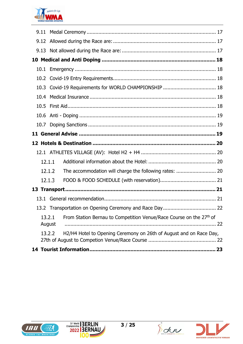

| 13.2.2 | H2/H4 Hotel to Opening Ceremony on 26th of August and on Race Day,            |  |
|--------|-------------------------------------------------------------------------------|--|
| 13.2.1 | From Station Bernau to Competition Venue/Race Course on the 27th of<br>August |  |
|        |                                                                               |  |
|        |                                                                               |  |
|        |                                                                               |  |
| 12.1.3 |                                                                               |  |
| 12.1.2 | The accommodation will charge the following rates:  20                        |  |
| 12.1.1 |                                                                               |  |
|        |                                                                               |  |
|        |                                                                               |  |
|        |                                                                               |  |
|        |                                                                               |  |
|        |                                                                               |  |
|        |                                                                               |  |
|        |                                                                               |  |
|        |                                                                               |  |
|        |                                                                               |  |
|        |                                                                               |  |
|        |                                                                               |  |
|        |                                                                               |  |
|        |                                                                               |  |
|        |                                                                               |  |







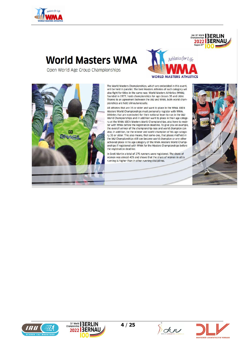

## **World Masters WMA**

Open World Age Group Championships





The World Masters Championships, which are embedded in this event, will be held in parallel. The best Masters Athletes of each category will also fight for titles in the same race. World Masters Athletics (WMA), founded in 1977, hosts championships for age classes 35 and older. Thanks to an agreement between the IAU and WMA, both world championships are held silmoutaneously.

All athletes that are 35 or older and want to place in the WMA 100 k Masters World Championships must personally register with WMA. Athletes that are nominated for their national team to run in the IAU World Championships and in addition want to place in their age category at the WMA 100 k Masters World Championships, also have to register with WMA before the registration deadline. To give you an example, the overall winner of the championship race and world champion can also, in addition, be the winner and world champion of his age category 35 or older. This also means, that some-one, that places midfield in the IAU Championships still can become world champion or any other achieved place in his age category of the WMA Masters World Championships if registered with WMA for the Masters Championships before the registration deadline.

In Sveti Martin a total of 275 runners were registered. The share of women was almost 40% and shows that the share of women in ultra running is higher than in other running disciplines.



IAU 31<sup>st</sup> World BERLIN 2022 BERNA







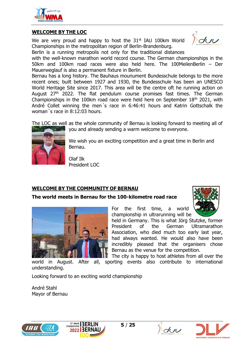

#### **WELCOME BY THE LOC**

We are very proud and happy to host the  $31<sup>st</sup>$  IAU 100km World Championships in the metropolitan region of Berlin-Brandenburg.

 $\delta$ duu

Berlin is a running metropolis not only for the traditional distances

with the well-known marathon world record course. The German championships in the 50km and 100km road races were also held here. The 100MeilenBerlin – Der Mauerweglauf is also a permanent fixture in Berlin.

Bernau has a long history. The Bauhaus mounument Bundesschule belongs to the more recent ones; built between 1927 and 1930, the Bundesschule has been an UNESCO World Heritage Site since 2017. This area will be the centre oft he running action on August 27<sup>th</sup> 2022. The flat pendulum course promises fast times. The German Championships in the 100km road race were held here on September  $18<sup>th</sup>$  2021, with André Collet winning the men´s race in 6:46:41 hours and Katrin Gottschalk the woman´s race in 8:12:03 hours.

The LOC as well as the whole community of Bernau is looking forward to meeting all of



you and already sending a warm welcome to everyone.

We wish you an exciting competition and a great time in Berlin and Bernau.

Olaf Ilk President LOC

#### **WELCOME BY THE COMMUNITY OF BERNAU**

#### **The world meets in Bernau for the 100-kilometre road race**



For the first time, a world championship in ultrarunning will be

held in Germany. This is what Jörg Stutzke, former President of the German Ultramarathon Association, who died much too early last year, had always wanted. He would also have been incredibly pleased that the organisers chose Bernau as the venue for the competition.

understanding.

The city is happy to host athletes from all over the world in August. After all, sporting events also contribute to international

Looking forward to an exciting world championship

André Stahl Mayor of Bernau







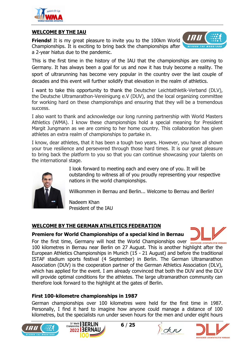

#### **WELCOME BY THE IAU**

**Friends!** It is my great pleasure to invite you to the 100km World Championships. It is exciting to bring back the championships after a 2-year hiatus due to the pandemic.



This is the first time in the history of the IAU that the championships are coming to Germany. It has always been a goal for us and now it has truly become a reality. The sport of ultrarunning has become very popular in the country over the last couple of decades and this event will further solidify that elevation in the realm of athletics.

I want to take this opportunity to thank the Deutscher Leichtathletik-Verband (DLV), the Deutsche Ultramarathon-Vereinigung e.V (DUV), and the local organizing committee for working hard on these championships and ensuring that they will be a tremendous success.

I also want to thank and acknowledge our long running partnership with World Masters Athletics (WMA). I know these championships hold a special meaning for President Margit Jungmann as we are coming to her home country. This collaboration has given athletes an extra realm of championships to partake in.

I know, dear athletes, that it has been a tough two years. However, you have all shown your true resilience and persevered through those hard times. It is our great pleasure to bring back the platform to you so that you can continue showcasing your talents on the international stage.



I look forward to meeting each and every one of you. It will be outstanding to witness all of you proudly representing your respective nations in the world championships.

Willkommen in Bernau and Berlin... Welcome to Bernau and Berlin!

Nadeem Khan President of the IAU

## **WELCOME BY THE GERMAN ATHLETICS FEDERATION**

#### **Premiere for World Championships of a special kind in Bernau**

For the first time, Germany will host the World Championships over **DEUTSCHER LEICHTATHLETIK VERBAND** 100 kilometres in Bernau near Berlin on 27 August. This is another highlight after the European Athletics Championships in Munich (15 - 21 August) and before the traditional ISTAF stadium sports festival (4 September) in Berlin. The German Ultramarathon Association (DUV) is the cooperation partner of the German Athletics Association (DLV), which has applied for the event. I am already convinced that both the DUV and the DLV will provide optimal conditions for the athletes. The large ultramarathon community can therefore look forward to the highlight at the gates of Berlin.

## **First 100-kilometre championships in 1987**

German championships over 100 kilometres were held for the first time in 1987. Personally, I find it hard to imagine how anyone could manage a distance of 100 kilometres, but the specialists run under seven hours for the men and under eight hours







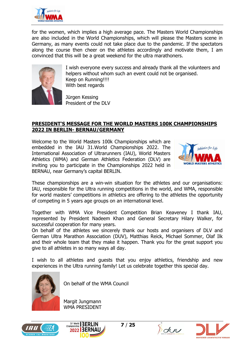

for the women, which implies a high average pace. The Masters World Championships are also included in the World Championships, which will please the Masters scene in Germany, as many events could not take place due to the pandemic. If the spectators along the course then cheer on the athletes accordingly and motivate them, I am convinced that this will be a great weekend for the ultra marathoners.



I wish everyone every success and already thank all the volunteers and helpers without whom such an event could not be organised. Keep on Running!!!! With best regards

Jürgen Kessing President of the DLV

#### **PRESIDENT'S MESSAGE FOR THE WORLD MASTERS 100K CHAMPIONSHIPS 2022 IN BERLIN- BERNAU/GERMANY**

Welcome to the World Masters 100k Championships which are embedded in the IAU 31.World Championships 2022. The International Association of Ultrarunners (IAU), World Masters Athletics (WMA) and German Athletics Federation (DLV) are inviting you to participate in the Championships 2022 held in BERNAU, near Germany's capital BERLIN.



These championships are a win-win situation for the athletes and our organisations: IAU, responsible for the Ultra running competitions in the world, and WMA, responsible for world masters' competitions in athletics are offering to the athletes the opportunity of competing in 5 years age groups on an international level.

Together with WMA Vice President Competition Brian Keaveney I thank IAU, represented by President Nadeem Khan and General Secretary Hilary Walker, for successful cooperation for many years.

On behalf of the athletes we sincerely thank our hosts and organisers of DLV and German Ultra Marathon Association (DUV), Matthias Reick, Michael Sommer, Olaf Ilk and their whole team that they make it happen. Thank you for the great support you give to all athletes in so many ways all day.

I wish to all athletes and guests that you enjoy athletics, friendship and new experiences in the Ultra running family! Let us celebrate together this special day.



On behalf of the WMA Council

Margit Jungmann WMA PRESIDENT







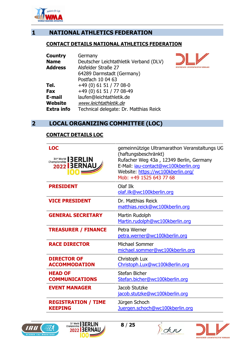

## <span id="page-7-0"></span>**1 NATIONAL ATHLETICS FEDERATION**

#### **CONTACT DETAILS NATIONAL ATHLETICS FEDERATION**

| Country           | Germany                                |  |  |
|-------------------|----------------------------------------|--|--|
| <b>Name</b>       | Deutscher Leichtathletik Verband (DLV) |  |  |
| <b>Address</b>    | Alsfelder Straße 27                    |  |  |
|                   | 64289 Darmstadt (Germany)              |  |  |
|                   | Postfach 10 04 63                      |  |  |
| Tel.              | $+49(0)$ 61 51 / 77 08-0               |  |  |
| Fax               | +49 (0) 61 51 / 77 08-49               |  |  |
| E-mail            | laufen@leichtathletik.de               |  |  |
| Website           | www.leichtathletik.de                  |  |  |
| <b>Extra info</b> | Technical delegate: Dr. Matthias Reick |  |  |



## <span id="page-7-1"></span>**2 LOCAL ORGANIZING COMMITTEE (LOC)**

#### **CONTACT DETAILS LOC**

| <b>LOC</b><br><b>Championship BERLIN</b><br><b>2022 BERNAU</b><br>00E | gemeinnützige Ultramarathon Veranstaltungs UG<br>(haftungsbeschränkt)<br>Rufacher Weg 43a, 12349 Berlin, Germany<br>E-Mail: jau-contact@wc100kberlin.org<br>Website: https://wc100kberlin.org/<br>Mob: +49 1525 643 77 68 |
|-----------------------------------------------------------------------|---------------------------------------------------------------------------------------------------------------------------------------------------------------------------------------------------------------------------|
| <b>PRESIDENT</b>                                                      | Olaf Ilk<br>olaf.ilk@wc100kberlin.org                                                                                                                                                                                     |
| <b>VICE PRESIDENT</b>                                                 | Dr. Matthias Reick<br>matthias.reick@wc100kberlin.org                                                                                                                                                                     |
| <b>GENERAL SECRETARY</b>                                              | Martin Rudolph<br>Martin.rudolph@wc100kberlin.org                                                                                                                                                                         |
| <b>TREASURER / FINANCE</b>                                            | Petra Werner<br>petra.werner@wc100kberlin.org                                                                                                                                                                             |
| <b>RACE DIRECTOR</b>                                                  | Michael Sommer<br>michael.sommer@wc100kberlin.org                                                                                                                                                                         |
| <b>DIRECTOR OF</b><br><b>ACCOMMODATION</b>                            | Christoph Lux<br>Christoph.Lux@wc100kBerlin.org                                                                                                                                                                           |
| <b>HEAD OF</b><br><b>COMMUNICATIONS</b>                               | Stefan Bicher<br>Stefan.bicher@wc100kberlin.org                                                                                                                                                                           |
| <b>EVENT MANAGER</b>                                                  | Jacob Stutzke<br>jacob.stutzke@wc100kberlin.org                                                                                                                                                                           |
| <b>REGISTRATION / TIME</b><br><b>KEEPING</b>                          | Jürgen Schoch<br>Juergen.schoch@wc100kberlin.org                                                                                                                                                                          |







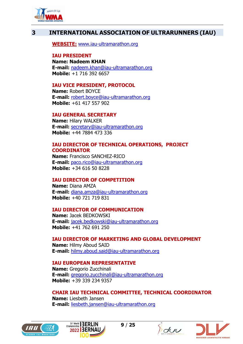

## <span id="page-8-0"></span>**3 INTERNATIONAL ASSOCIATION OF ULTRARUNNERS (IAU)**

**WEBSITE:** [www.iau-ultramarathon.org](http://www.iau-ultramarathon.org/)

#### **IAU PRESIDENT**

**Name: Nadeem KHAN E-mail:** [nadeem.khan@iau-ultramarathon.org](mailto:nadeem.khan@iau-ultramarathon.org) **Mobile:** +1 716 392 6657

#### **IAU VICE PRESIDENT, PROTOCOL**

**Name:** Robert BOYCE **E-mail:** [robert.boyce@iau-ultramarathon.org](mailto:robert.boyce@iau-ultramarathon.org) **Mobile:** +61 417 557 902

#### **IAU GENERAL SECRETARY**

**Name:** Hilary WALKER **E-mail:** [secretary@iau-ultramarathon.org](mailto:secretary@iau-ultramarathon.org) **Mobile:** +44 7884 473 336

#### **IAU DIRECTOR OF TECHNICAL OPERATIONS, PROJECT COORDINATOR**

**Name:** Francisco SANCHEZ-RICO **E-mail:** [paco.rico@iau-ultramarathon.org](mailto:paco.rico@iau-ultramarathon.org) **Mobile:** +34 616 50 8228

#### **IAU DIRECTOR OF COMPETITION**

**Name:** Diana AMZA **E-mail:** [diana.amza@iau-ultramarathon.org](mailto:diana.amza@iau-ultramarathon.org) **Mobile:** +40 721 719 831

#### **IAU DIRECTOR OF COMMUNICATION**

**Name:** Jacek BEDKOWSKI **E-mail:** [jacek.bedkowski@iau-ultramarathon.org](mailto:jacek.bedkowski@iau-ultramarathon.org) **Mobile:** +41 762 691 250

#### **IAU DIRECTOR OF MARKETING AND GLOBAL DEVELOPMENT**

**Name:** Hilmy Aboud SAID **E-mail:** [hilmy.aboud.said@iau-ultramarathon.org](mailto:hilmy.aboud.said@iau-ultramarathon.org)

#### **IAU EUROPEAN REPRESENTATIVE**

**Name:** Gregorio Zucchinali **E-mail:** [gregorio.zucchinali@iau-ultramarathon.org](mailto:gregorio.zucchinali@iau-ultramarathon.org) **Mobile:** +39 339 234 9357

#### **CHAIR IAU TECHNICAL COMMITTEE, TECHNICAL COORDINATOR**

**Name:** Liesbeth Jansen **E-mail:** [liesbeth.jansen@iau-ultramarathon.org](mailto:liesbeth.jansen@iau-ultramarathon.org)







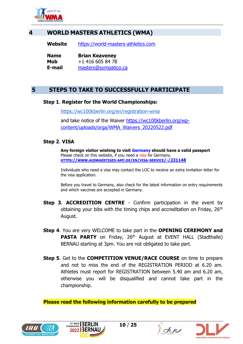

## **4 WORLD MASTERS ATHLETICS (WMA)**

<span id="page-9-0"></span>**Website** [https://world-masters-athletics.com](https://world-masters-athletics.com/)

| <b>Name</b> | <b>Brian Keaveney</b> |
|-------------|-----------------------|
| Mob         | +1 416 605 84 78      |
| E-mail      | masters@sympatico.ca  |

## <span id="page-9-1"></span>**5 STEPS TO TAKE TO SUCCESSFULLY PARTICIPATE**

#### **Step 1**. **Register for the World Championships:**

<https://wc100kberlin.org/en/registration-wma>

and take notice of the Waiver [https://wc100kberlin.org/wp](https://wc100kberlin.org/wp-content/uploads/orga/WMA_Waivers_20220522.pdf)[content/uploads/orga/WMA\\_Waivers\\_20220522.pdf](https://wc100kberlin.org/wp-content/uploads/orga/WMA_Waivers_20220522.pdf)

#### **Step 2**. **VISA**

**Any foreign visitor wishing to visit Germany should have a valid passport** Please check on this website, if you need a visa for Germany. **HTTPS://WWW.AUSWAERTIGES-AMT.DE/EN/VISA-SERVICE[/-/231148](https://www.auswaertiges-amt.de/en/visa-service/-/231148)**

Individuals who need a visa may contact the LOC to receive an extra invitation letter for the visa application.

Before you travel to Germany, also check for the latest information on entry requirements and which vaccines are accepted in Germany.

- **Step 3**. **ACCREDITION CENTRE** Confirm participation in the event by obtaining your bibs with the timing chips and accreditation on Friday,  $26<sup>th</sup>$ August.
- **Step 4**. You are very WELCOME to take part in the **OPENING CEREMONY and PASTA PARTY** on Friday, 26<sup>th</sup> August at EVENT HALL (Stadthalle) BERNAU starting at 3pm. You are not obligated to take part.
- **Step 5**. Get to the **COMPETITION VENUE/RACE COURSE** on time to prepare and not to miss the end of the REGISTRATION PERIOD at 6.20 am. Athletes must report for REGISTRATION between 5.40 am and 6.20 am, otherwise you will be disqualified and cannot take part in the championship.

**Please read the following information carefully to be prepared**







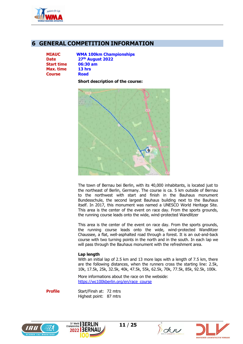

## <span id="page-10-0"></span>**6 GENERAL COMPETITION INFORMATION**

**Start time 06:30 am Max. time 13 hrs Course Road**

**MIAUC WMA 100km Championships Date 27th August 2022**

**Short description of the course:**



The town of Bernau bei Berlin, with its 40,000 inhabitants, is located just to the northeast of Berlin, Germany. The course is ca. 5 km outside of Bernau to the northwest with start and finish in the Bauhaus monument Bundesschule, the second largest Bauhaus building next to the Bauhaus itself. In 2017, this monument was named a UNESCO World Heritage Site. This area is the center of the event on race day. From the sports grounds, the running course leads onto the wide, wind-protected Wandlitzer

This area is the center of the event on race day. From the sports grounds, the running course leads onto the wide, wind-protected Wandlitzer Chaussee, a flat, well-asphalted road through a forest. It is an out-and-back course with two turning points in the north and in the south. In each lap we will pass through the Bauhaus monument with the refreshment area.

#### **Lap length**

With an initial lap of 2.5 km and 13 more laps with a length of 7.5 km, there are the following distances, when the runners cross the starting line: 2.5k, 10k, 17.5k, 25k, 32.5k, 40k, 47.5k, 55k, 62.5k, 70k, 77.5k, 85k, 92.5k, 100k.

More informations about the race on the webside: [https://wc100kberlin.org/en/race\\_course](https://wc100kberlin.org/en/race_course)

**Profile** Start/Finsh at: 72 mtrs Highest point: 87 mtrs







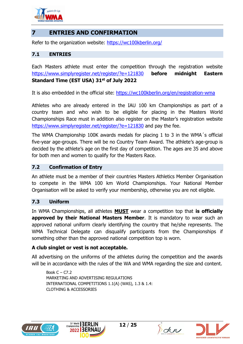

## <span id="page-11-0"></span>**7 ENTRIES AND CONFIRMATION**

Refer to the organization website: [https://wc100kberlin.org/](https://deref-web.de/mail/client/icfoyMtkTS0/dereferrer/?redirectUrl=https%3A%2F%2Fwc100kberlin.org%2F)

#### <span id="page-11-1"></span>**7.1 ENTRIES**

Each Masters athlete must enter the competition through the registration website <https://www.simplyregister.net/register/?e=121830> **before midnight Eastern Standard Time (EST USA) 31st of July 2022**

It is also embedded in the official site:<https://wc100kberlin.org/en/registration-wma>

Athletes who are already entered in the IAU 100 km Championships as part of a country team and who wish to be eligible for placing in the Masters World Championships Race must in addition also register on the Master's registration website <https://www.simplyregister.net/register/?e=121830> and pay the fee.

The WMA Championship 100K awards medals for placing 1 to 3 in the WMA´s official five-year age-groups. There will be no Country Team Award. The athlete's age-group is decided by the athlete's age on the first day of competition. The ages are 35 and above for both men and women to qualify for the Masters Race.

### <span id="page-11-2"></span>**7.2 Confirmation of Entry**

An athlete must be a member of their countries Masters Athletics Member Organisation to compete in the WMA 100 km World Championships. Your National Member Organisation will be asked to verify your membership, otherwise you are not eligible.

#### <span id="page-11-3"></span>**7.3 Uniform**

In WMA Championships, all athletes **MUST** wear a competition top that **is officially approved by their National Masters Member**. It is mandatory to wear such an approved national uniform clearly identifying the country that he/she represents. The WMA Technical Delegate can disqualify participants from the Championships if something other than the approved national competition top is worn.

#### **A club singlet or vest is not acceptable.**

All advertising on the uniforms of the athletes during the competition and the awards will be in accordance with the rules of the WA and WMA regarding the size and content.

Book  $C - C7.2$ MARKETING AND ADVERTISING REGULATIONS INTERNATIONAL COMPETITIONS 1.1(A) (WAS), 1.3 & 1.4: CLOTHING & ACCESSORIES







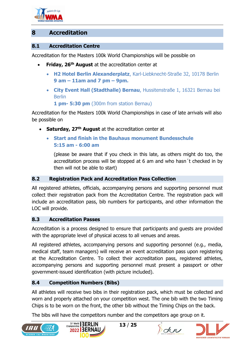

## <span id="page-12-0"></span>**8 Accreditation**

#### <span id="page-12-1"></span>**8.1 Accreditation Centre**

Accreditation for the Masters 100k World Championships will be possible on

- **Friday, 26th August** at the accreditation center at
	- **H2 Hotel Berlin Alexanderplatz**, Karl-Liebknecht-Straße 32, 10178 Berlin **9 am – 11am and 7 pm – 9pm.**
	- **City Event Hall (Stadthalle) Bernau**, Hussitenstraße 1, 16321 Bernau bei Berlin
		- **1 pm- 5:30 pm** (300m from station Bernau)

Accreditation for the Masters 100k World Championships in case of late arrivals will also be possible on

- **Saturday, 27th August** at the accreditation center at
	- **Start and finish in the Bauhaus monument Bundesschule 5:15 am - 6:00 am**

(please be aware that if you check in this late, as others might do too, the accreditation process will be stopped at 6 am and who hasn´t checked in by then will not be able to start)

#### <span id="page-12-2"></span>**8.2 Registration Pack and Accreditation Pass Collection**

All registered athletes, officials, accompanying persons and supporting personnel must collect their registration pack from the Accreditation Centre. The registration pack will include an accreditation pass, bib numbers for participants, and other information the LOC will provide.

#### <span id="page-12-3"></span>**8.3 Accreditation Passes**

Accreditation is a process designed to ensure that participants and guests are provided with the appropriate level of physical access to all venues and areas.

All registered athletes, accompanying persons and supporting personnel (e.g., media, medical staff, team managers) will receive an event accreditation pass upon registering at the Accreditation Centre. To collect their accreditation pass, registered athletes, accompanying persons and supporting personnel must present a passport or other government-issued identification (with picture included).

#### <span id="page-12-4"></span>**8.4 Competition Numbers (Bibs)**

All athletes will receive two bibs in their registration pack, which must be collected and worn and properly attached on your competition west. The one bib with the two Timing Chips is to be worn on the front, the other bib without the Timing Chips on the back.

The bibs will have the competitors number and the competitors age group on it.







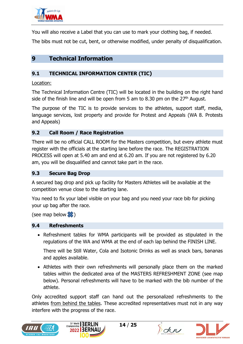

You will also receive a Label that you can use to mark your clothing bag, if needed.

The bibs must not be cut, bent, or otherwise modified, under penalty of disqualification.

## <span id="page-13-0"></span>**9 Technical Information**

## <span id="page-13-1"></span>**9.1 TECHNICAL INFORMATION CENTER (TIC)**

#### Location:

The Technical Information Centre (TIC) will be located in the building on the right hand side of the finish line and will be open from 5 am to 8.30 pm on the  $27<sup>th</sup>$  August.

The purpose of the TIC is to provide services to the athletes, support staff, media, language services, lost property and provide for Protest and Appeals (WA 8. Protests and Appeals)

### <span id="page-13-2"></span>**9.2 Call Room / Race Registration**

There will be no official CALL ROOM for the Masters competition, but every athlete must register with the officials at the starting lane before the race. The REGISTRATION PROCESS will open at 5.40 am and end at 6.20 am. If you are not registered by 6.20 am, you will be disqualified and cannot take part in the race.

#### <span id="page-13-3"></span>**9.3 Secure Bag Drop**

A secured bag drop and pick up facility for Masters Athletes will be available at the competition venue close to the starting lane.

You need to fix your label visible on your bag and you need your race bib for picking your up bag after the race.

(see map below  $\gg$ )

#### <span id="page-13-4"></span>**9.4 Refreshments**

• Refreshment tables for WMA participants will be provided as stipulated in the regulations of the WA and WMA at the end of each lap behind the FINISH LINE.

There will be Still Water, Cola and Isotonic Drinks as well as snack bars, bananas and apples available.

• Athletes with their own refreshments will personally place them on the marked tables within the dedicated area of the MASTERS REFRESHMENT ZONE (see map below). Personal refreshments will have to be marked with the bib number of the athlete.

Only accredited support staff can hand out the personalized refreshments to the athletes from behind the tables. These accredited representatives must not in any way interfere with the progress of the race.







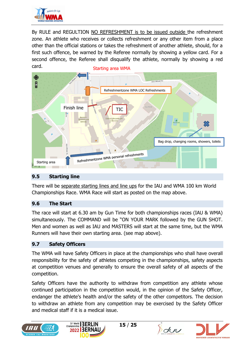

By RULE and REGULTION NO REFRESHMENT is to be issued outside the refreshment zone. An athlete who receives or collects refreshment or any other item from a place other than the official stations or takes the refreshment of another athlete, should, for a first such offence, be warned by the Referee normally by showing a yellow card. For a second offence, the Referee shall disqualify the athlete, normally by showing a red card. Starting area WMA



#### <span id="page-14-0"></span>**9.5 Starting line**

There will be separate starting lines and line ups for the IAU and WMA 100 km World Championships Race. WMA Race will start as posted on the map above.

#### <span id="page-14-1"></span>**9.6 The Start**

The race will start at 6.30 am by Gun Time for both championships races (IAU & WMA) simultaneously. The COMMAND will be "ON YOUR MARK followed by the GUN SHOT. Men and women as well as IAU and MASTERS will start at the same time, but the WMA Runners will have their own starting area. (see map above).

## <span id="page-14-2"></span>**9.7 Safety Officers**

The WMA will have Safety Officers in place at the championships who shall have overall responsibility for the safety of athletes competing in the championships, safety aspects at competition venues and generally to ensure the overall safety of all aspects of the competition.

Safety Officers have the authority to withdraw from competition any athlete whose continued participation in the competition would, in the opinion of the Safety Officer, endanger the athlete's health and/or the safety of the other competitors. The decision to withdraw an athlete from any competition may be exercised by the Safety Officer and medical staff if it is a medical issue.







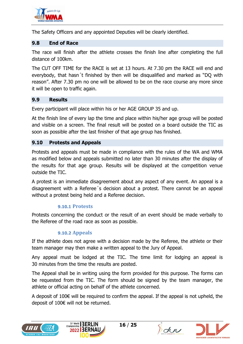

The Safety Officers and any appointed Deputies will be clearly identified.

#### <span id="page-15-0"></span>**9.8 End of Race**

The race will finish after the athlete crosses the finish line after completing the full distance of 100km.

The CUT OFF TIME for the RACE is set at 13 hours. At 7.30 pm the RACE will end and everybody, that hasn´t finished by then will be disqualified and marked as "DQ with reason". After 7.30 pm no one will be allowed to be on the race course any more since it will be open to traffic again.

#### <span id="page-15-1"></span>**9.9 Results**

Every participant will place within his or her AGE GROUP 35 and up.

At the finish line of every lap the time and place within his/her age group will be posted and visible on a screen. The final result will be posted on a board outside the TIC as soon as possible after the last finisher of that age group has finished.

#### <span id="page-15-2"></span>**9.10 Protests and Appeals**

Protests and appeals must be made in compliance with the rules of the WA and WMA as modified below and appeals submitted no later than 30 minutes after the display of the results for that age group. Results will be displayed at the competition venue outside the TIC.

A protest is an immediate disagreement about any aspect of any event. An appeal is a disagreement with a Referee´s decision about a protest. There cannot be an appeal without a protest being held and a Referee decision.

#### **9.10.1 Protests**

<span id="page-15-3"></span>Protests concerning the conduct or the result of an event should be made verbally to the Referee of the road race as soon as possible.

#### **9.10.2 Appeals**

<span id="page-15-4"></span>If the athlete does not agree with a decision made by the Referee, the athlete or their team manager may then make a written appeal to the Jury of Appeal.

Any appeal must be lodged at the TIC. The time limit for lodging an appeal is 30 minutes from the time the results are posted.

The Appeal shall be in writing using the form provided for this purpose. The forms can be requested from the TIC. The form should be signed by the team manager, the athlete or official acting on behalf of the athlete concerned.

A deposit of 100 $\epsilon$  will be required to confirm the appeal. If the appeal is not upheld, the deposit of 100€ will not be returned.







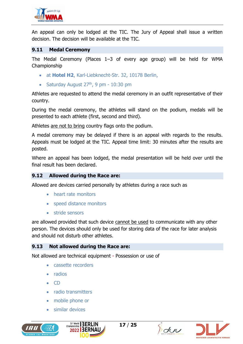

An appeal can only be lodged at the TIC. The Jury of Appeal shall issue a written decision. The decision will be available at the TIC.

#### <span id="page-16-0"></span>**9.11 Medal Ceremony**

The Medal Ceremony (Places 1–3 of every age group) will be held for WMA Championship

- at **Hotel H2**, Karl-Liebknecht-Str. 32, 10178 Berlin,
- Saturday August  $27<sup>th</sup>$ , 9 pm 10:30 pm

Athletes are requested to attend the medal ceremony in an outfit representative of their country.

During the medal ceremony, the athletes will stand on the podium, medals will be presented to each athlete (first, second and third).

Athletes are not to bring country flags onto the podium.

A medal ceremony may be delayed if there is an appeal with regards to the results. Appeals must be lodged at the TIC. Appeal time limit: 30 minutes after the results are posted.

Where an appeal has been lodged, the medal presentation will be held over until the final result has been declared.

#### <span id="page-16-1"></span>**9.12 Allowed during the Race are:**

Allowed are devices carried personally by athletes during a race such as

- heart rate monitors
- speed distance monitors
- stride sensors

are allowed provided that such device cannot be used to communicate with any other person. The devices should only be used for storing data of the race for later analysis and should not disturb other athletes.

#### <span id="page-16-2"></span>**9.13 Not allowed during the Race are:**

Not allowed are technical equipment - Possession or use of

- cassette recorders
- radios
- CD
- radio transmitters
- mobile phone or
- similar devices







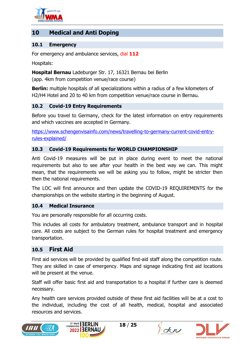

## <span id="page-17-0"></span>**10 Medical and Anti Doping**

#### <span id="page-17-1"></span>**10.1 Emergency**

For emergency and ambulance services, dial **112**

Hospitals:

**Hospital Bernau** Ladeburger Str. 17, 16321 Bernau bei Berlin

(app. 4km from competition venue/race course)

**Berlin:** multiple hospitals of all specializations within a radius of a few kilometers of H2/H4 Hotel and 20 to 40 km from competition venue/race course in Bernau.

#### <span id="page-17-2"></span>**10.2 Covid-19 Entry Requirements**

Before you travel to Germany, check for the latest information on entry requirements and which vaccines are accepted in Germany.

[https://www.schengenvisainfo.com/news/travelling-to-germany-current-covid-entry](https://www.schengenvisainfo.com/news/travelling-to-germany-current-covid-entry-rules-explained/)[rules-explained/](https://www.schengenvisainfo.com/news/travelling-to-germany-current-covid-entry-rules-explained/)

#### <span id="page-17-3"></span>**10.3 Covid-19 Requirements for WORLD CHAMPIONSHIP**

Anti Covid-19 measures will be put in place during event to meet the national requirements but also to see after your health in the best way we can. This might mean, that the requirements we will be asking you to follow, might be stricter then then the national requirements.

The LOC will first announce and then update the COVID-19 REQUIREMENTS for the championships on the website starting in the beginning of August.

#### <span id="page-17-4"></span>**10.4 Medical Insurance**

You are personally responsible for all occurring costs.

This includes all costs for ambulatory treatment, ambulance transport and in hospital care. All costs are subject to the German rules for hospital treatment and emergency transportation.

#### <span id="page-17-5"></span>**10.5 First Aid**

First aid services will be provided by qualified first-aid staff along the competition route. They are skilled in case of emergency. Maps and signage indicating first aid locations will be present at the venue.

Staff will offer basic first aid and transportation to a hospital if further care is deemed necessary.

Any health care services provided outside of these first aid facilities will be at a cost to the individual, including the cost of all health, medical, hospital and associated resources and services.







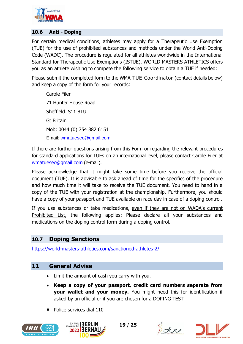

#### <span id="page-18-0"></span>**10.6 Anti - Doping**

For certain medical conditions, athletes may apply for a Therapeutic Use Exemption (TUE) for the use of prohibited substances and methods under the World Anti-Doping Code (WADC). The procedure is regulated for all athletes worldwide in the International Standard for Therapeutic Use Exemptions (ISTUE). WORLD MASTERS ATHLETICS offers you as an athlete wishing to compete the following service to obtain a TUE if needed:

Please submit the completed form to the WMA TUE Coordinator (contact details below) and keep a copy of the form for your records:

Carole Filer 71 Hunter House Road Sheffield. S11 8TU Gt Britain Mob: 0044 (0) 754 882 6151 Email: [wmatuesec@gmail.com](mailto:wmatuesec@gmail.com)

If there are further questions arising from this Form or regarding the relevant procedures for standard applications for TUEs on an international level, please contact Carole Filer at [wmatuesec@gmail.com](mailto:pierluigi.fiorella@tin.it) (e-mail).

Please acknowledge that it might take some time before you receive the official document (TUE). It is advisable to ask ahead of time for the specifics of the procedure and how much time it will take to receive the TUE document. You need to hand in a copy of the TUE with your registration at the championship. Furthermore, you should have a copy of your passport and TUE available on race day in case of a doping control.

If you use substances or take medications, even if they are not on WADA's current Prohibited List, the following applies: Please declare all your substances and medications on the doping control form during a doping control.

## <span id="page-18-1"></span>**10.7 Doping Sanctions**

<https://world-masters-athletics.com/sanctioned-athletes-2/>

## <span id="page-18-2"></span>**11 General Advise**

- Limit the amount of cash you carry with you.
- **Keep a copy of your passport, credit card numbers separate from your wallet and your money.** You might need this for identification if asked by an official or if you are chosen for a DOPING TEST
- Police services dial 110







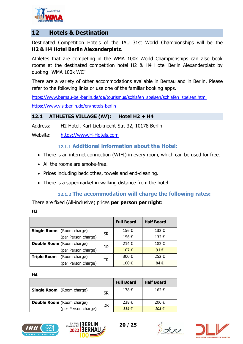

## <span id="page-19-0"></span>**12 Hotels & Destination**

Destinated Competition Hotels of the IAU 31st World Championships will be the **H2 & H4 Hotel Berlin Alexanderplatz.**

Athletes that are competing in the WMA 100k World Championships can also book rooms at the destinated competition hotel H2 & H4 Hotel Berlin Alexanderplatz by quoting "WMA 100k WC"

There are a variety of other accommodations available in Bernau and in Berlin. Please refer to the following links or use one of the familiar booking apps.

[https://www.bernau-bei-berlin.de/de/tourismus/schlafen\\_speisen/schlafen\\_speisen.html](https://www.bernau-bei-berlin.de/de/tourismus/schlafen_speisen/schlafen_speisen.html) <https://www.visitberlin.de/en/hotels-berlin>

#### <span id="page-19-1"></span>**12.1 ATHLETES VILLAGE (AV): Hotel H2 + H4**

Address: H2 Hotel, Karl-Liebknecht-Str. 32, 10178 Berlin

<span id="page-19-2"></span>Website: [https://www.H-Hotels.com](https://www.h-hotels.com/)

#### **Additional information about the Hotel:**

- There is an internet connection (WIFI) in every room, which can be used for free.
- All the rooms are smoke-free.
- Prices including bedclothes, towels and end-cleaning.
- There is a supermarket in walking distance from the hotel.

#### **The accommodation will charge the following rates:**

<span id="page-19-3"></span>There are fixed (All-inclusive) prices **per person per night:**

| ۰, | ۰. |
|----|----|
|    |    |

|                                  |                                  |           | <b>Full Board</b> | <b>Half Board</b> |
|----------------------------------|----------------------------------|-----------|-------------------|-------------------|
|                                  | <b>Single Room</b> (Room charge) | <b>SR</b> | 156€              | 132€              |
|                                  | (per Person charge)              |           | 156€              | 132€              |
| <b>Double Room</b> (Room charge) |                                  | <b>DR</b> | 214 $\epsilon$    | 182€              |
|                                  | (per Person charge)              |           | 107 $\epsilon$    | 91 $\epsilon$     |
|                                  | <b>Triple Room</b> (Room charge) | <b>TR</b> | 300€              | 252€              |
|                                  | (per Person charge)              |           | 100€              | 84€               |

**H4**

|                                  |           | <b>Full Board</b> | <b>Half Board</b> |
|----------------------------------|-----------|-------------------|-------------------|
| <b>Single Room</b> (Room charge) | <b>SR</b> | 178€              | 162€              |
| <b>Double Room</b> (Room charge) | DR        | 238€              | 206€              |
| (per Person charge)              |           | 119E              | 103 $\epsilon$    |







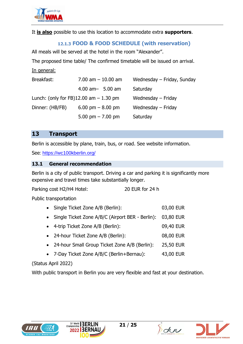

<span id="page-20-0"></span>It **is also** possible to use this location to accommodate extra **supporters**.

## **FOOD & FOOD SCHEDULE (with reservation)**

All meals will be served at the hotel in the room "Alexander".

The proposed time table/ The confirmed timetable will be issued on arrival.

#### In general:

| Breakfast:                                  | $7.00$ am $-10.00$ am | Wednesday – Friday, Sunday |
|---------------------------------------------|-----------------------|----------------------------|
|                                             | $4.00$ am $-$ 5.00 am | Saturday                   |
| Lunch: (only for FB) $12.00$ am $- 1.30$ pm |                       | Wednesday – Friday         |
| Dinner: (HB/FB)                             | 6.00 pm $-$ 8.00 pm   | Wednesday - Friday         |
|                                             | 5.00 pm $- 7.00$ pm   | Saturday                   |

### <span id="page-20-1"></span>**13 Transport**

Berlin is accessible by plane, train, bus, or road. See website information.

See: [https://wc100kberlin.org/](https://deref-web.de/mail/client/icfoyMtkTS0/dereferrer/?redirectUrl=https%3A%2F%2Fwc100kberlin.org%2F)

#### <span id="page-20-2"></span>**13.1 General recommendation**

Berlin is a city of public transport. Driving a car and parking it is significantly more expensive and travel times take substantially longer.

Parking cost H2/H4 Hotel: 20 EUR for 24 h

Public transportation

- Single Ticket Zone A/B (Berlin): 03,00 EUR
- Single Ticket Zone A/B/C (Airport BER Berlin): 03,80 EUR
- 4-trip Ticket Zone A/B (Berlin): 09,40 EUR
- 24-hour Ticket Zone A/B (Berlin): 08,00 EUR
- 24-hour Small Group Ticket Zone A/B (Berlin): 25,50 EUR
- 7-Day Ticket Zone A/B/C (Berlin+Bernau): 43,00 EUR

(Status April 2022)

With public transport in Berlin you are very flexible and fast at your destination.







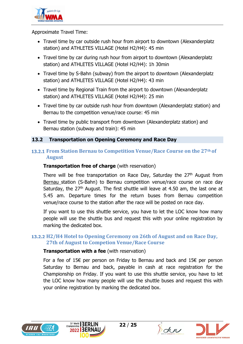

Approximate Travel Time:

- Travel time by car outside rush hour from airport to downtown (Alexanderplatz station) and ATHLETES VILLAGE (Hotel H2/H4): 45 min
- Travel time by car during rush hour from airport to downtown (Alexanderplatz station) and ATHLETES VILLAGE (Hotel H2/H4): 1h 30min
- Travel time by S-Bahn (subway) from the airport to downtown (Alexanderplatz station) and ATHLETES VILLAGE (Hotel H2/H4): 43 min
- Travel time by Regional Train from the airport to downtown (Alexanderplatz station) and ATHLETES VILLAGE (Hotel H2/H4): 25 min
- Travel time by car outside rush hour from downtown (Alexanderplatz station) and Bernau to the competition venue/race course: 45 min
- Travel time by public transport from downtown (Alexanderplatz station) and Bernau station (subway and train): 45 min

#### <span id="page-21-0"></span>**13.2 Transportation on Opening Ceremony and Race Day**

#### <span id="page-21-1"></span>**From Station Bernau to Competition Venue/Race Course on the 27th of August**

#### **Transportation free of charge** (with reservation)

There will be free transportation on Race Day, Saturday the 27<sup>th</sup> August from Bernau station (S-Bahn) to Bernau competition venue/race course on race day Saturday, the  $27<sup>th</sup>$  August. The first shuttle will leave at 4.50 am, the last one at 5.45 am. Departure times for the return buses from Bernau competition venue/race course to the station after the race will be posted on race day.

If you want to use this shuttle service, you have to let the LOC know how many people will use the shuttle bus and request this with your online registration by marking the dedicated box.

### <span id="page-21-2"></span>**H2/H4 Hotel to Opening Ceremony on 26th of August and on Race Day, 27th of August to Competion Venue/Race Course**

#### **Transportation with a fee** (with reservation)

For a fee of 15€ per person on Friday to Bernau and back and 15€ per person Saturday to Bernau and back, payable in cash at race registration for the Championship on Friday. If you want to use this shuttle service, you have to let the LOC know how many people will use the shuttle buses and request this with your online registration by marking the dedicated box.







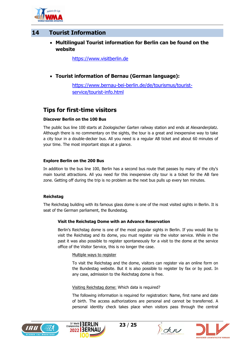

## <span id="page-22-0"></span>**14 Tourist Information**

#### • **Multilingual Tourist information for Berlin can be found on the website**

[https://www.visitberlin.de](https://www.visitberlin.de/)

• **Tourist information of Bernau (German language):**

[https://www.bernau-bei-berlin.de/de/tourismus/tourist](https://www.bernau-bei-berlin.de/de/tourismus/tourist-service/tourist-info.html)[service/tourist-info.html](https://www.bernau-bei-berlin.de/de/tourismus/tourist-service/tourist-info.html)

## **Tips for first-time visitors**

#### **Discover Berlin on the 100 Bus**

The public bus line 100 starts at Zoologischer Garten railway station and ends at Alexanderplatz. Although there is no commentary on the sights, the tour is a great and inexpensive way to take a city tour in a double-decker bus. All you need is a regular AB ticket and about 60 minutes of your time. The most important stops at a glance.

#### **Explore Berlin on the 200 Bus**

In addition to the bus line 100, Berlin has a second bus route that passes by many of the city's main tourist attractions. All you need for this inexpensive city tour is a ticket for the AB fare zone. Getting off during the trip is no problem as the next bus pulls up every ten minutes.

#### **Reichstag**

The Reichstag building with its famous glass dome is one of the most visited sights in Berlin. It is seat of the German parliament, the Bundestag.

#### **Visit the Reichstag Dome with an Advance Reservation**

Berlin's Reichstag dome is one of the most popular sights in Berlin. If you would like to visit the Reichstag and its dome, you must register via the visitor service. While in the past it was also possible to register spontaneously for a visit to the dome at the service office of the Visitor Service, this is no longer the case.

#### Multiple ways to register

To visit the Reichstag and the dome, visitors can register via an online form on the Bundestag website. But it is also possible to register by fax or by post. In any case, admission to the Reichstag dome is free.

Visiting Reichstag dome: Which data is required?

The following information is required for registration: Name, first name and date of birth. The access authorizations are personal and cannot be transferred. A personal identity check takes place when visitors pass through the central







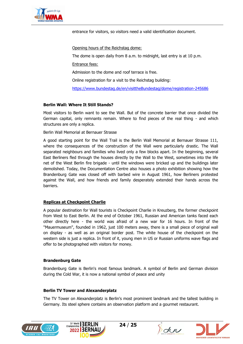

entrance for visitors, so visitors need a valid identification document.

Opening hours of the Reichstag dome:

The dome is open daily from 8 a.m. to midnight, last entry is at 10 p.m.

Entrance fees:

Admission to the dome and roof terrace is free.

Online registration for a visit to the Reichstag building:

<https://www.bundestag.de/en/visittheBundestag/dome/registration-245686>

#### **Berlin Wall: Where It Still Stands?**

Most visitors to Berlin want to see the Wall. But of the concrete barrier that once divided the German capital, only remnants remain. Where to find pieces of the real thing - and which structures are only a replica.

Berlin Wall Memorial at Bernauer Strasse

A good starting point for the Wall Trail is the Berlin Wall Memorial at Bernauer Strasse 111, where the consequences of the construction of the Wall were particularly drastic. The Wall separated neighbours and families who lived only a few blocks apart. In the beginning, several East Berliners fled through the houses directly by the Wall to the West, sometimes into the life net of the West Berlin fire brigade - until the windows were bricked up and the buildings later demolished. Today, the Documentation Centre also houses a photo exhibition showing how the Brandenburg Gate was closed off with barbed wire in August 1961, how Berliners protested against the Wall, and how friends and family desperately extended their hands across the barriers.

#### **Replicas at Checkpoint Charlie**

A popular destination for Wall tourists is Checkpoint Charlie in Kreuzberg, the former checkpoint from West to East Berlin. At the end of October 1961, Russian and American tanks faced each other directly here - the world was afraid of a new war for 16 hours. In front of the "Mauermuseum", founded in 1962, just 100 meters away, there is a small piece of original wall on display - as well as an original border post. The white house of the checkpoint on the western side is just a replica. In front of it, young men in US or Russian uniforms wave flags and offer to be photographed with visitors for money.

#### **Brandenburg Gate**

Brandenburg Gate is Berlin's most famous landmark. A symbol of Berlin and German division during the Cold War, it is now a national symbol of peace and unity

#### **Berlin TV Tower and Alexanderplatz**

The TV Tower on Alexanderplatz is Berlin's most prominent landmark and the tallest building in Germany. Its steel sphere contains an observation platform and a gourmet restaurant.